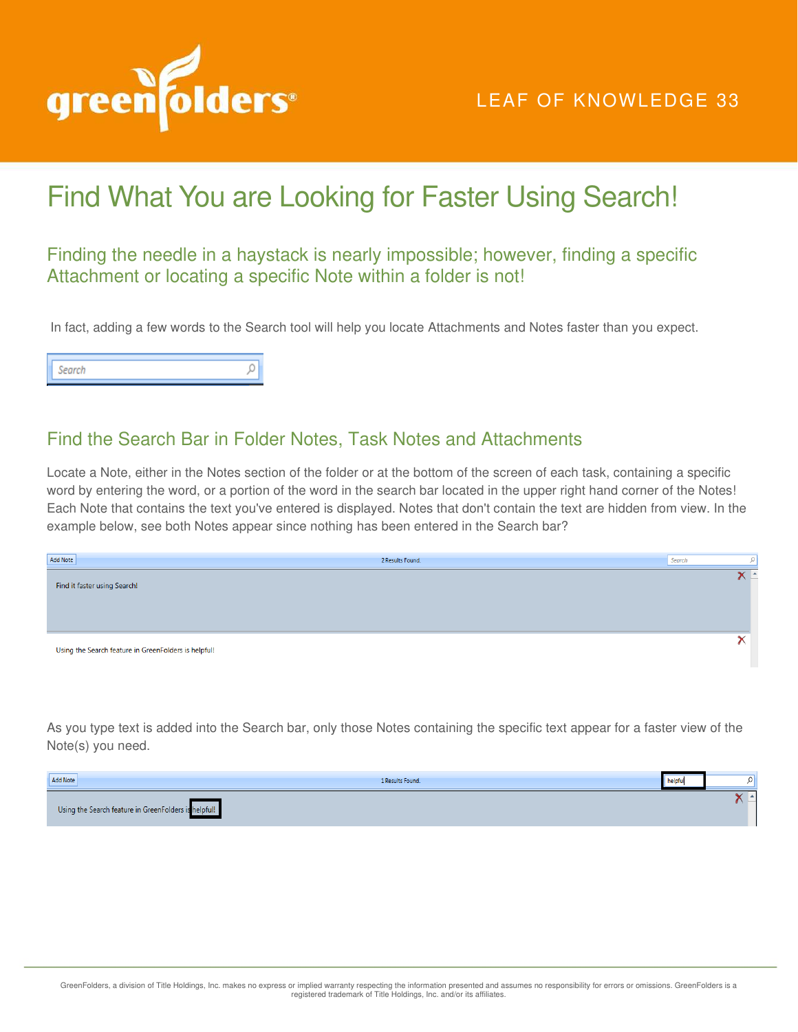

## Find What You are Looking for Faster Using Search!

## Finding the needle in a haystack is nearly impossible; however, finding a specific Attachment or locating a specific Note within a folder is not!

In fact, adding a few words to the Search tool will help you locate Attachments and Notes faster than you expect.

O Search

## Find the Search Bar in Folder Notes, Task Notes and Attachments

Locate a Note, either in the Notes section of the folder or at the bottom of the screen of each task, containing a specific word by entering the word, or a portion of the word in the search bar located in the upper right hand corner of the Notes! Each Note that contains the text you've entered is displayed. Notes that don't contain the text are hidden from view. In the example below, see both Notes appear since nothing has been entered in the Search bar?

| Add Note                                             | 2 Results Found. | Search |     |
|------------------------------------------------------|------------------|--------|-----|
| Find it faster using Search!                         |                  |        | ⊂ ∸ |
|                                                      |                  |        |     |
|                                                      |                  |        |     |
| Using the Search feature in GreenFolders is helpful! |                  |        |     |
|                                                      |                  |        |     |

As you type text is added into the Search bar, only those Notes containing the specific text appear for a faster view of the Note(s) you need.

| Add Note                                             | 1 Results Found. | helpful |  |
|------------------------------------------------------|------------------|---------|--|
| Using the Search feature in GreenFolders is helpful! |                  |         |  |